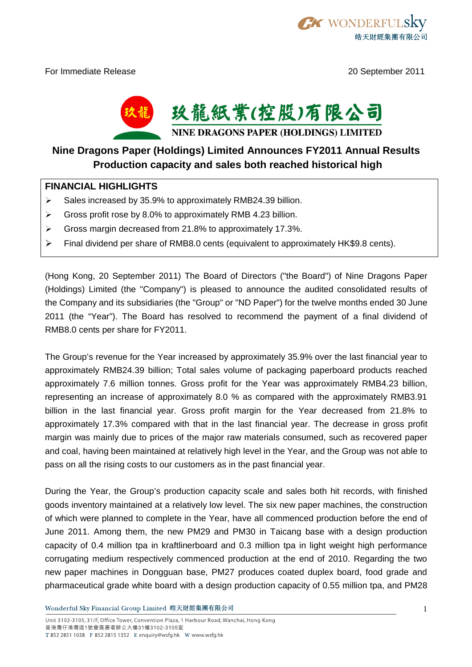

For Immediate Release 20 September 2011



## **Nine Dragons Paper (Holdings) Limited Announces FY2011 Annual Results Production capacity and sales both reached historical high**

## **FINANCIAL HIGHLIGHTS**

- Sales increased by 35.9% to approximately RMB24.39 billion.<br>
Secrets of the secret was not approximately RMB 4.23 billion.
- Gross profit rose by 8.0% to approximately RMB 4.23 billion.
- Gross margin decreased from 21.8% to approximately 17.3%.<br>
Sectional dividend per share of RMB8.0 cents (equivalent to approximately
- Final dividend per share of RMB8.0 cents (equivalent to approximately HK\$9.8 cents).

(Hong Kong, 20 September 2011) The Board of Directors ("the Board") of Nine Dragons Paper (Holdings) Limited (the "Company") is pleased to announce the audited consolidated results of the Company and its subsidiaries (the "Group" or "ND Paper") for the twelve months ended 30 June 2011 (the "Year"). The Board has resolved to recommend the payment of a final dividend of RMB8.0 cents per share for FY2011.

The Group's revenue for the Year increased by approximately 35.9% over the last financial year to approximately RMB24.39 billion; Total sales volume of packaging paperboard products reached approximately 7.6 million tonnes. Gross profit for the Year was approximately RMB4.23 billion, representing an increase of approximately 8.0 % as compared with the approximately RMB3.91 billion in the last financial year. Gross profit margin for the Year decreased from 21.8% to approximately 17.3% compared with that in the last financial year. The decrease in gross profit margin was mainly due to prices of the major raw materials consumed, such as recovered paper and coal, having been maintained at relatively high level in the Year, and the Group was not able to pass on all the rising costs to our customers as in the past financial year.

During the Year, the Group's production capacity scale and sales both hit records, with finished goods inventory maintained at a relatively low level. The six new paper machines, the construction of which were planned to complete in the Year, have all commenced production before the end of June 2011. Among them, the new PM29 and PM30 in Taicang base with a design production capacity of 0.4 million tpa in kraftlinerboard and 0.3 million tpa in light weight high performance corrugating medium respectively commenced production at the end of 2010. Regarding the two new paper machines in Dongguan base, PM27 produces coated duplex board, food grade and pharmaceutical grade white board with a design production capacity of 0.55 million tpa, and PM28

Wonderful Sky Financial Group Limited 皓天財經集團有限公司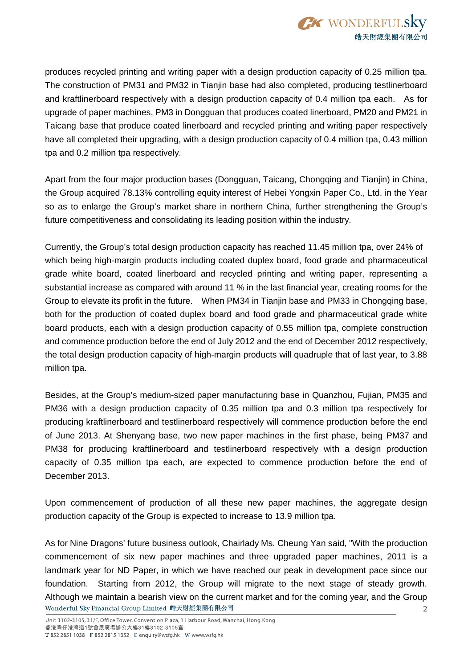

produces recycled printing and writing paper with a design production capacity of 0.25 million tpa. The construction of PM31 and PM32 in Tianjin base had also completed, producing testlinerboard and kraftlinerboard respectively with a design production capacity of 0.4 million tpa each. As for upgrade of paper machines, PM3 in Dongguan that produces coated linerboard, PM20 and PM21 in Taicang base that produce coated linerboard and recycled printing and writing paper respectively have all completed their upgrading, with a design production capacity of 0.4 million tpa, 0.43 million tpa and 0.2 million tpa respectively.

Apart from the four major production bases (Dongguan, Taicang, Chongqing and Tianjin) in China, the Group acquired 78.13% controlling equity interest of Hebei Yongxin Paper Co., Ltd. in the Year so as to enlarge the Group's market share in northern China, further strengthening the Group's future competitiveness and consolidating its leading position within the industry.

Currently, the Group's total design production capacity has reached 11.45 million tpa, over 24% of which being high-margin products including coated duplex board, food grade and pharmaceutical grade white board, coated linerboard and recycled printing and writing paper, representing a substantial increase as compared with around 11 % in the last financial year, creating rooms for the Group to elevate its profit in the future. When PM34 in Tianjin base and PM33 in Chongqing base, both for the production of coated duplex board and food grade and pharmaceutical grade white board products, each with a design production capacity of 0.55 million tpa, complete construction and commence production before the end of July 2012 and the end of December 2012 respectively, the total design production capacity of high-margin products will quadruple that of last year, to 3.88 million tpa.

Besides, at the Group's medium-sized paper manufacturing base in Quanzhou, Fujian, PM35 and PM36 with a design production capacity of 0.35 million tpa and 0.3 million tpa respectively for producing kraftlinerboard and testlinerboard respectively will commence production before the end of June 2013. At Shenyang base, two new paper machines in the first phase, being PM37 and PM38 for producing kraftlinerboard and testlinerboard respectively with a design production capacity of 0.35 million tpa each, are expected to commence production before the end of December 2013.

Upon commencement of production of all these new paper machines, the aggregate design production capacity of the Group is expected to increase to 13.9 million tpa.

As for Nine Dragons' future business outlook, Chairlady Ms. Cheung Yan said, "With the production commencement of six new paper machines and three upgraded paper machines, 2011 is a landmark year for ND Paper, in which we have reached our peak in development pace since our foundation. Starting from 2012, the Group will migrate to the next stage of steady growth. Although we maintain a bearish view on the current market and for the coming year, and the Group Wonderful Sky Financial Group Limited 皓天財經集團有限公司 2